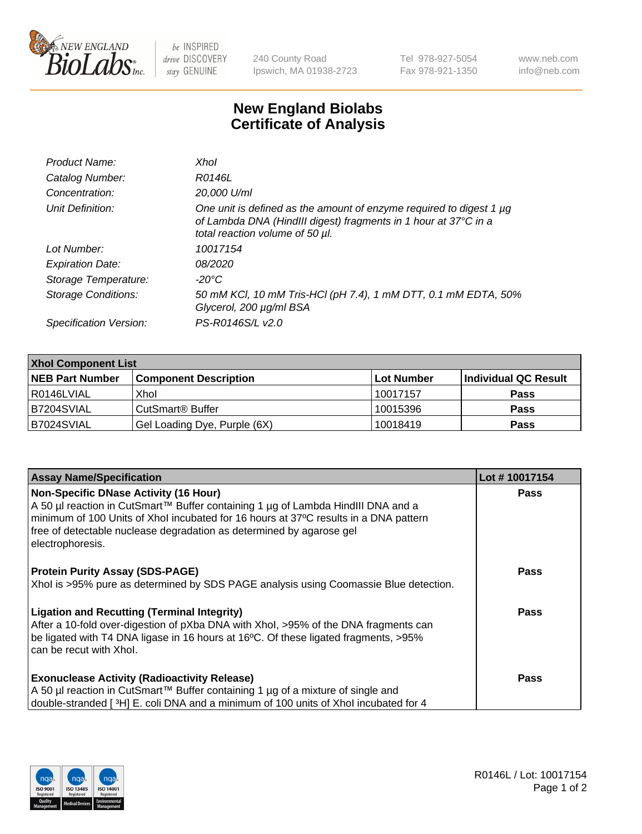

 $be$  INSPIRED drive DISCOVERY stay GENUINE

240 County Road Ipswich, MA 01938-2723 Tel 978-927-5054 Fax 978-921-1350 www.neb.com info@neb.com

## **New England Biolabs Certificate of Analysis**

| Product Name:              | Xhol                                                                                                                                                                      |
|----------------------------|---------------------------------------------------------------------------------------------------------------------------------------------------------------------------|
| Catalog Number:            | R0146L                                                                                                                                                                    |
| Concentration:             | 20,000 U/ml                                                                                                                                                               |
| Unit Definition:           | One unit is defined as the amount of enzyme required to digest 1 µg<br>of Lambda DNA (HindIII digest) fragments in 1 hour at 37°C in a<br>total reaction volume of 50 µl. |
| Lot Number:                | 10017154                                                                                                                                                                  |
| <b>Expiration Date:</b>    | 08/2020                                                                                                                                                                   |
| Storage Temperature:       | -20°C                                                                                                                                                                     |
| <b>Storage Conditions:</b> | 50 mM KCl, 10 mM Tris-HCl (pH 7.4), 1 mM DTT, 0.1 mM EDTA, 50%<br>Glycerol, 200 µg/ml BSA                                                                                 |
| Specification Version:     | PS-R0146S/L v2.0                                                                                                                                                          |

| <b>Xhol Component List</b> |                              |            |                      |  |  |
|----------------------------|------------------------------|------------|----------------------|--|--|
| <b>NEB Part Number</b>     | <b>Component Description</b> | Lot Number | Individual QC Result |  |  |
| R0146LVIAL                 | Xhol                         | 10017157   | <b>Pass</b>          |  |  |
| B7204SVIAL                 | CutSmart <sup>®</sup> Buffer | 10015396   | <b>Pass</b>          |  |  |
| B7024SVIAL                 | Gel Loading Dye, Purple (6X) | 10018419   | <b>Pass</b>          |  |  |

| <b>Assay Name/Specification</b>                                                                                                                                                                                                                                                                                      | Lot #10017154 |
|----------------------------------------------------------------------------------------------------------------------------------------------------------------------------------------------------------------------------------------------------------------------------------------------------------------------|---------------|
| <b>Non-Specific DNase Activity (16 Hour)</b><br>A 50 µl reaction in CutSmart™ Buffer containing 1 µg of Lambda HindIII DNA and a<br>minimum of 100 Units of Xhol incubated for 16 hours at 37°C results in a DNA pattern<br>free of detectable nuclease degradation as determined by agarose gel<br>electrophoresis. | <b>Pass</b>   |
| <b>Protein Purity Assay (SDS-PAGE)</b><br>Xhol is >95% pure as determined by SDS PAGE analysis using Coomassie Blue detection.                                                                                                                                                                                       | <b>Pass</b>   |
| <b>Ligation and Recutting (Terminal Integrity)</b><br>After a 10-fold over-digestion of pXba DNA with Xhol, >95% of the DNA fragments can<br>be ligated with T4 DNA ligase in 16 hours at 16°C. Of these ligated fragments, >95%<br>can be recut with Xhol.                                                          | Pass          |
| <b>Exonuclease Activity (Radioactivity Release)</b><br>A 50 µl reaction in CutSmart™ Buffer containing 1 µg of a mixture of single and<br>double-stranded [3H] E. coli DNA and a minimum of 100 units of Xhol incubated for 4                                                                                        | Pass          |